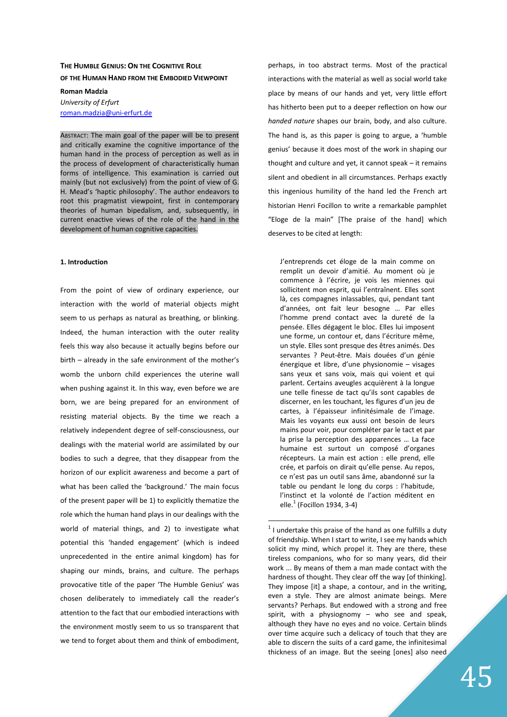# **THE HUMBLE GENIUS: ON THE COGNITIVE ROLE OF THE HUMAN HAND FROM THE EMBODIED VIEWPOINT**

#### **Roman Madzia**

# *University of Erfurt* roman.madzia@uni-erfurt.de

ABSTRACT: The main goal of the paper will be to present and critically examine the cognitive importance of the human hand in the process of perception as well as in the process of development of characteristically human forms of intelligence. This examination is carried out mainly (but not exclusively) from the point of view of G. H. Mead's 'haptic philosophy'. The author endeavors to root this pragmatist viewpoint, first in contemporary theories of human bipedalism, and, subsequently, in current enactive views of the role of the hand in the development of human cognitive capacities.

#### **1. Introduction**

From the point of view of ordinary experience, our interaction with the world of material objects might seem to us perhaps as natural as breathing, or blinking. Indeed, the human interaction with the outer reality feels this way also because it actually begins before our birth – already in the safe environment of the mother's womb the unborn child experiences the uterine wall when pushing against it. In this way, even before we are born, we are being prepared for an environment of resisting material objects. By the time we reach a relatively independent degree of self-consciousness, our dealings with the material world are assimilated by our bodies to such a degree, that they disappear from the horizon of our explicit awareness and become a part of what has been called the 'background.' The main focus of the present paper will be 1) to explicitly thematize the role which the human hand plays in our dealings with the world of material things, and 2) to investigate what potential this 'handed engagement' (which is indeed unprecedented in the entire animal kingdom) has for shaping our minds, brains, and culture. The perhaps provocative title of the paper 'The Humble Genius' was chosen deliberately to immediately call the reader's attention to the fact that our embodied interactions with the environment mostly seem to us so transparent that we tend to forget about them and think of embodiment,

perhaps, in too abstract terms. Most of the practical interactions with the material as well as social world take place by means of our hands and yet, very little effort has hitherto been put to a deeper reflection on how our *handed nature* shapes our brain, body, and also culture. The hand is, as this paper is going to argue, a 'humble genius' because it does most of the work in shaping our thought and culture and yet, it cannot speak – it remains silent and obedient in all circumstances. Perhaps exactly this ingenious humility of the hand led the French art historian Henri Focillon to write a remarkable pamphlet "Eloge de la main" [The praise of the hand] which deserves to be cited at length:

J'entreprends cet éloge de la main comme on remplit un devoir d'amitié. Au moment où je commence à l'écrire, je vois les miennes qui sollicitent mon esprit, qui l'entraînent. Elles sont là, ces compagnes inlassables, qui, pendant tant d'années, ont fait leur besogne … Par elles l'homme prend contact avec la dureté de la pensée. Elles dégagent le bloc. Elles lui imposent une forme, un contour et, dans l'écriture même, un style. Elles sont presque des êtres animés. Des servantes ? Peut-être. Mais douées d'un génie énergique et libre, d'une physionomie – visages sans yeux et sans voix, mais qui voient et qui parlent. Certains aveugles acquièrent à la longue une telle finesse de tact qu'ils sont capables de discerner, en les touchant, les figures d'un jeu de cartes, à l'épaisseur infinitésimale de l'image. Mais les voyants eux aussi ont besoin de leurs mains pour voir, pour compléter par le tact et par la prise la perception des apparences … La face humaine est surtout un composé d'organes récepteurs. La main est action : elle prend, elle crée, et parfois on dirait qu'elle pense. Au repos, ce n'est pas un outil sans âme, abandonné sur la table ou pendant le long du corps : l'habitude, l'instinct et la volonté de l'action méditent en elle. $^1$  (Focillon 1934, 3-4)

 $1$  I undertake this praise of the hand as one fulfills a duty of friendship. When I start to write, I see my hands which solicit my mind, which propel it. They are there, these tireless companions, who for so many years, did their work ... By means of them a man made contact with the hardness of thought. They clear off the way [of thinking]. They impose [it] a shape, a contour, and in the writing, even a style. They are almost animate beings. Mere servants? Perhaps. But endowed with a strong and free spirit, with a physiognomy – who see and speak, although they have no eyes and no voice. Certain blinds over time acquire such a delicacy of touch that they are able to discern the suits of a card game, the infinitesimal thickness of an image. But the seeing [ones] also need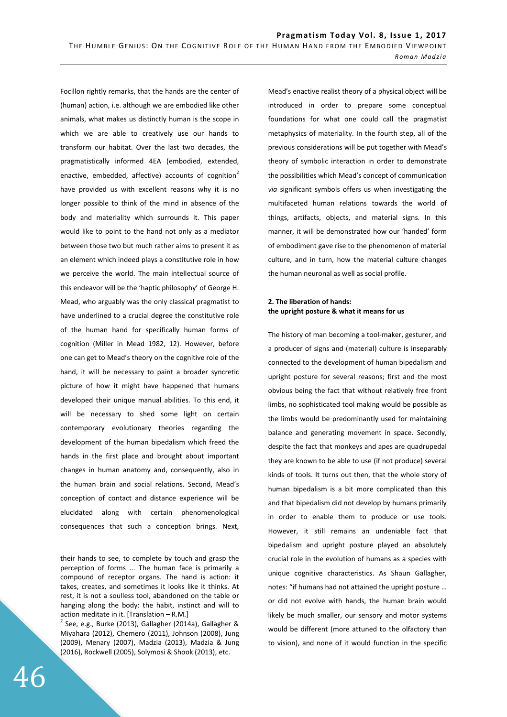Focillon rightly remarks, that the hands are the center of (human) action, i.e. although we are embodied like other animals, what makes us distinctly human is the scope in which we are able to creatively use our hands to transform our habitat. Over the last two decades, the pragmatistically informed 4EA (embodied, extended, enactive, embedded, affective) accounts of cognition<sup>2</sup> have provided us with excellent reasons why it is no longer possible to think of the mind in absence of the body and materiality which surrounds it. This paper would like to point to the hand not only as a mediator between those two but much rather aims to present it as an element which indeed plays a constitutive role in how we perceive the world. The main intellectual source of this endeavor will be the 'haptic philosophy' of George H. Mead, who arguably was the only classical pragmatist to have underlined to a crucial degree the constitutive role of the human hand for specifically human forms of cognition (Miller in Mead 1982, 12). However, before one can get to Mead's theory on the cognitive role of the hand, it will be necessary to paint a broader syncretic picture of how it might have happened that humans developed their unique manual abilities. To this end, it will be necessary to shed some light on certain contemporary evolutionary theories regarding the development of the human bipedalism which freed the hands in the first place and brought about important changes in human anatomy and, consequently, also in the human brain and social relations. Second, Mead's conception of contact and distance experience will be elucidated along with certain phenomenological consequences that such a conception brings. Next,

<u>.</u> their hands to see, to complete by touch and grasp the perception of forms ... The human face is primarily a compound of receptor organs. The hand is action: it takes, creates, and sometimes it looks like it thinks. At rest, it is not a soulless tool, abandoned on the table or hanging along the body: the habit, instinct and will to action meditate in it. [Translation – R.M.]

 $2$  See, e.g., Burke (2013), Gallagher (2014a), Gallagher & Miyahara (2012), Chemero (2011), Johnson (2008), Jung (2009), Menary (2007), Madzia (2013), Madzia & Jung (2016), Rockwell (2005), Solymosi & Shook (2013), etc.

Mead's enactive realist theory of a physical object will be introduced in order to prepare some conceptual foundations for what one could call the pragmatist metaphysics of materiality. In the fourth step, all of the previous considerations will be put together with Mead's theory of symbolic interaction in order to demonstrate the possibilities which Mead's concept of communication *via* significant symbols offers us when investigating the multifaceted human relations towards the world of things, artifacts, objects, and material signs. In this manner, it will be demonstrated how our 'handed' form of embodiment gave rise to the phenomenon of material culture, and in turn, how the material culture changes the human neuronal as well as social profile.

# **2. The liberation of hands: the upright posture & what it means for us**

The history of man becoming a tool-maker, gesturer, and a producer of signs and (material) culture is inseparably connected to the development of human bipedalism and upright posture for several reasons; first and the most obvious being the fact that without relatively free front limbs, no sophisticated tool making would be possible as the limbs would be predominantly used for maintaining balance and generating movement in space. Secondly, despite the fact that monkeys and apes are quadrupedal they are known to be able to use (if not produce) several kinds of tools. It turns out then, that the whole story of human bipedalism is a bit more complicated than this and that bipedalism did not develop by humans primarily in order to enable them to produce or use tools. However, it still remains an undeniable fact that bipedalism and upright posture played an absolutely crucial role in the evolution of humans as a species with unique cognitive characteristics. As Shaun Gallagher, notes: "if humans had not attained the upright posture … or did not evolve with hands, the human brain would likely be much smaller, our sensory and motor systems would be different (more attuned to the olfactory than to vision), and none of it would function in the specific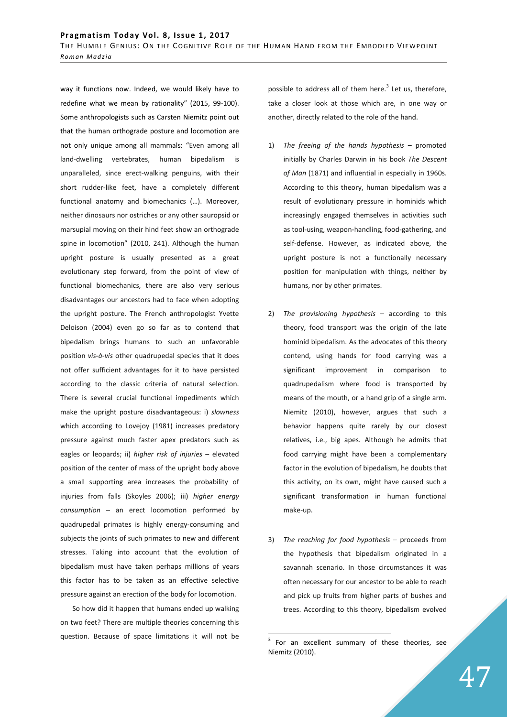way it functions now. Indeed, we would likely have to redefine what we mean by rationality" (2015, 99-100). Some anthropologists such as Carsten Niemitz point out that the human orthograde posture and locomotion are not only unique among all mammals: "Even among all land-dwelling vertebrates, human bipedalism is unparalleled, since erect-walking penguins, with their short rudder-like feet, have a completely different functional anatomy and biomechanics (…). Moreover, neither dinosaurs nor ostriches or any other sauropsid or marsupial moving on their hind feet show an orthograde spine in locomotion" (2010, 241). Although the human upright posture is usually presented as a great evolutionary step forward, from the point of view of functional biomechanics, there are also very serious disadvantages our ancestors had to face when adopting the upright posture. The French anthropologist Yvette Deloison (2004) even go so far as to contend that bipedalism brings humans to such an unfavorable position *vis-à-vis* other quadrupedal species that it does not offer sufficient advantages for it to have persisted according to the classic criteria of natural selection. There is several crucial functional impediments which make the upright posture disadvantageous: i) *slowness* which according to Lovejoy (1981) increases predatory pressure against much faster apex predators such as eagles or leopards; ii) *higher risk of injuries* – elevated position of the center of mass of the upright body above a small supporting area increases the probability of injuries from falls (Skoyles 2006); iii) *higher energy consumption* – an erect locomotion performed by quadrupedal primates is highly energy-consuming and subjects the joints of such primates to new and different stresses. Taking into account that the evolution of bipedalism must have taken perhaps millions of years this factor has to be taken as an effective selective pressure against an erection of the body for locomotion.

So how did it happen that humans ended up walking on two feet? There are multiple theories concerning this question. Because of space limitations it will not be

possible to address all of them here. $3$  Let us, therefore, take a closer look at those which are, in one way or another, directly related to the role of the hand.

- 1) *The freeing of the hands hypothesis* promoted initially by Charles Darwin in his book *The Descent of Man* (1871) and influential in especially in 1960s. According to this theory, human bipedalism was a result of evolutionary pressure in hominids which increasingly engaged themselves in activities such as tool-using, weapon-handling, food-gathering, and self-defense. However, as indicated above, the upright posture is not a functionally necessary position for manipulation with things, neither by humans, nor by other primates.
- 2) *The provisioning hypothesis*  according to this theory, food transport was the origin of the late hominid bipedalism. As the advocates of this theory contend, using hands for food carrying was a significant improvement in comparison to quadrupedalism where food is transported by means of the mouth, or a hand grip of a single arm. Niemitz (2010), however, argues that such a behavior happens quite rarely by our closest relatives, i.e., big apes. Although he admits that food carrying might have been a complementary factor in the evolution of bipedalism, he doubts that this activity, on its own, might have caused such a significant transformation in human functional make-up.
- 3) *The reaching for food hypothesis*  proceeds from the hypothesis that bipedalism originated in a savannah scenario. In those circumstances it was often necessary for our ancestor to be able to reach and pick up fruits from higher parts of bushes and trees. According to this theory, bipedalism evolved

 $3$  For an excellent summary of these theories, see Niemitz (2010).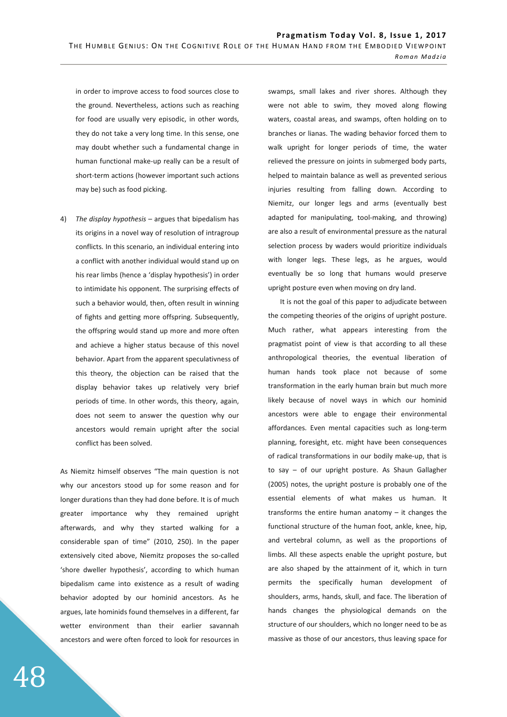in order to improve access to food sources close to the ground. Nevertheless, actions such as reaching for food are usually very episodic, in other words, they do not take a very long time. In this sense, one may doubt whether such a fundamental change in human functional make-up really can be a result of short-term actions (however important such actions may be) such as food picking.

4) *The display hypothesis* – argues that bipedalism has its origins in a novel way of resolution of intragroup conflicts. In this scenario, an individual entering into a conflict with another individual would stand up on his rear limbs (hence a 'display hypothesis') in order to intimidate his opponent. The surprising effects of such a behavior would, then, often result in winning of fights and getting more offspring. Subsequently, the offspring would stand up more and more often and achieve a higher status because of this novel behavior. Apart from the apparent speculativness of this theory, the objection can be raised that the display behavior takes up relatively very brief periods of time. In other words, this theory, again, does not seem to answer the question why our ancestors would remain upright after the social conflict has been solved.

As Niemitz himself observes "The main question is not why our ancestors stood up for some reason and for longer durations than they had done before. It is of much greater importance why they remained upright afterwards, and why they started walking for a considerable span of time" (2010, 250). In the paper extensively cited above, Niemitz proposes the so-called 'shore dweller hypothesis', according to which human bipedalism came into existence as a result of wading behavior adopted by our hominid ancestors. As he argues, late hominids found themselves in a different, far wetter environment than their earlier savannah ancestors and were often forced to look for resources in

swamps, small lakes and river shores. Although they were not able to swim, they moved along flowing waters, coastal areas, and swamps, often holding on to branches or lianas. The wading behavior forced them to walk upright for longer periods of time, the water relieved the pressure on joints in submerged body parts, helped to maintain balance as well as prevented serious injuries resulting from falling down. According to Niemitz, our longer legs and arms (eventually best adapted for manipulating, tool-making, and throwing) are also a result of environmental pressure as the natural selection process by waders would prioritize individuals with longer legs. These legs, as he argues, would eventually be so long that humans would preserve upright posture even when moving on dry land.

It is not the goal of this paper to adjudicate between the competing theories of the origins of upright posture. Much rather, what appears interesting from the pragmatist point of view is that according to all these anthropological theories, the eventual liberation of human hands took place not because of some transformation in the early human brain but much more likely because of novel ways in which our hominid ancestors were able to engage their environmental affordances. Even mental capacities such as long-term planning, foresight, etc. might have been consequences of radical transformations in our bodily make-up, that is to say – of our upright posture. As Shaun Gallagher (2005) notes, the upright posture is probably one of the essential elements of what makes us human. It transforms the entire human anatomy – it changes the functional structure of the human foot, ankle, knee, hip, and vertebral column, as well as the proportions of limbs. All these aspects enable the upright posture, but are also shaped by the attainment of it, which in turn permits the specifically human development of shoulders, arms, hands, skull, and face. The liberation of hands changes the physiological demands on the structure of our shoulders, which no longer need to be as massive as those of our ancestors, thus leaving space for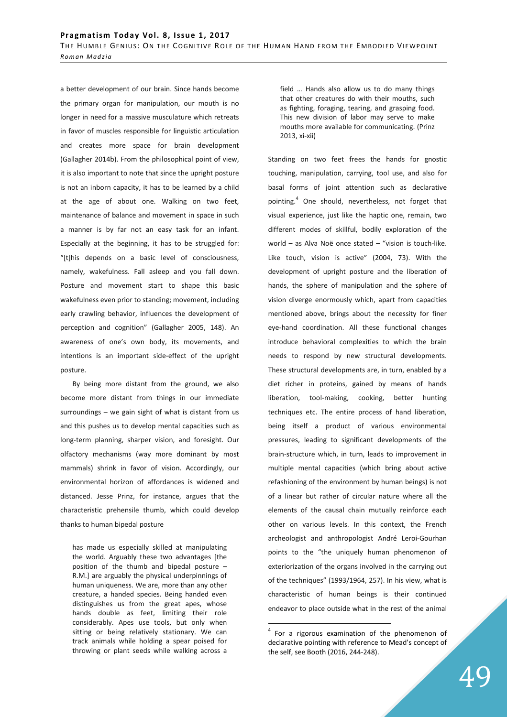a better development of our brain. Since hands become the primary organ for manipulation, our mouth is no longer in need for a massive musculature which retreats in favor of muscles responsible for linguistic articulation and creates more space for brain development (Gallagher 2014b). From the philosophical point of view, it is also important to note that since the upright posture is not an inborn capacity, it has to be learned by a child at the age of about one. Walking on two feet, maintenance of balance and movement in space in such a manner is by far not an easy task for an infant. Especially at the beginning, it has to be struggled for: "[t]his depends on a basic level of consciousness, namely, wakefulness. Fall asleep and you fall down. Posture and movement start to shape this basic wakefulness even prior to standing; movement, including early crawling behavior, influences the development of perception and cognition" (Gallagher 2005, 148). An awareness of one's own body, its movements, and intentions is an important side-effect of the upright posture.

By being more distant from the ground, we also become more distant from things in our immediate surroundings – we gain sight of what is distant from us and this pushes us to develop mental capacities such as long-term planning, sharper vision, and foresight. Our olfactory mechanisms (way more dominant by most mammals) shrink in favor of vision. Accordingly, our environmental horizon of affordances is widened and distanced. Jesse Prinz, for instance, argues that the characteristic prehensile thumb, which could develop thanks to human bipedal posture

has made us especially skilled at manipulating the world. Arguably these two advantages [the position of the thumb and bipedal posture – R.M.] are arguably the physical underpinnings of human uniqueness. We are, more than any other creature, a handed species. Being handed even distinguishes us from the great apes, whose hands double as feet, limiting their role considerably. Apes use tools, but only when sitting or being relatively stationary. We can track animals while holding a spear poised for throwing or plant seeds while walking across a

field … Hands also allow us to do many things that other creatures do with their mouths, such as fighting, foraging, tearing, and grasping food. This new division of labor may serve to make mouths more available for communicating. (Prinz 2013, xi-xii)

Standing on two feet frees the hands for gnostic touching, manipulation, carrying, tool use, and also for basal forms of joint attention such as declarative pointing.<sup>4</sup> One should, nevertheless, not forget that visual experience, just like the haptic one, remain, two different modes of skillful, bodily exploration of the world – as Alva Noë once stated – "vision is touch-like. Like touch, vision is active" (2004, 73). With the development of upright posture and the liberation of hands, the sphere of manipulation and the sphere of vision diverge enormously which, apart from capacities mentioned above, brings about the necessity for finer eye-hand coordination. All these functional changes introduce behavioral complexities to which the brain needs to respond by new structural developments. These structural developments are, in turn, enabled by a diet richer in proteins, gained by means of hands liberation, tool-making, cooking, better hunting techniques etc. The entire process of hand liberation, being itself a product of various environmental pressures, leading to significant developments of the brain-structure which, in turn, leads to improvement in multiple mental capacities (which bring about active refashioning of the environment by human beings) is not of a linear but rather of circular nature where all the elements of the causal chain mutually reinforce each other on various levels. In this context, the French archeologist and anthropologist André Leroi-Gourhan points to the "the uniquely human phenomenon of exteriorization of the organs involved in the carrying out of the techniques" (1993/1964, 257). In his view, what is characteristic of human beings is their continued endeavor to place outside what in the rest of the animal

 $4$  For a rigorous examination of the phenomenon of declarative pointing with reference to Mead's concept of the self, see Booth (2016, 244-248).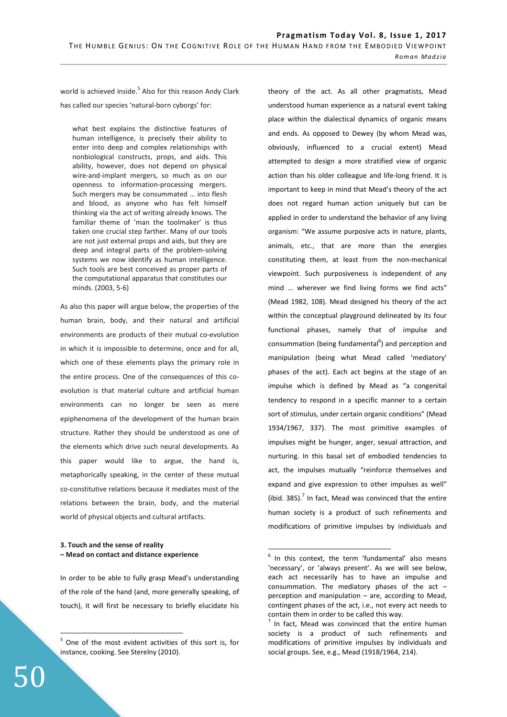world is achieved inside.<sup>5</sup> Also for this reason Andy Clark has called our species 'natural-born cyborgs' for:

what best explains the distinctive features of human intelligence, is precisely their ability to enter into deep and complex relationships with nonbiological constructs, props, and aids. This ability, however, does not depend on physical wire-and-implant mergers, so much as on our openness to information-processing mergers. Such mergers may be consummated … into flesh and blood, as anyone who has felt himself thinking via the act of writing already knows. The familiar theme of 'man the toolmaker' is thus taken one crucial step farther. Many of our tools are not just external props and aids, but they are deep and integral parts of the problem-solving systems we now identify as human intelligence. Such tools are best conceived as proper parts of the computational apparatus that constitutes our minds. (2003, 5-6)

As also this paper will argue below, the properties of the human brain, body, and their natural and artificial environments are products of their mutual co-evolution in which it is impossible to determine, once and for all, which one of these elements plays the primary role in the entire process. One of the consequences of this coevolution is that material culture and artificial human environments can no longer be seen as mere epiphenomena of the development of the human brain structure. Rather they should be understood as one of the elements which drive such neural developments. As this paper would like to argue, the hand is, metaphorically speaking, in the center of these mutual co-constitutive relations because it mediates most of the relations between the brain, body, and the material world of physical objects and cultural artifacts.

## **3. Touch and the sense of reality – Mead on contact and distance experience**

In order to be able to fully grasp Mead's understanding of the role of the hand (and, more generally speaking, of touch), it will first be necessary to briefly elucidate his

theory of the act. As all other pragmatists, Mead understood human experience as a natural event taking place within the dialectical dynamics of organic means and ends. As opposed to Dewey (by whom Mead was, obviously, influenced to a crucial extent) Mead attempted to design a more stratified view of organic action than his older colleague and life-long friend. It is important to keep in mind that Mead's theory of the act does not regard human action uniquely but can be applied in order to understand the behavior of any living organism: "We assume purposive acts in nature, plants, animals, etc., that are more than the energies constituting them, at least from the non-mechanical viewpoint. Such purposiveness is independent of any mind … wherever we find living forms we find acts" (Mead 1982, 108). Mead designed his theory of the act within the conceptual playground delineated by its four functional phases, namely that of impulse and consummation (being fundamental<sup>6</sup>) and perception and manipulation (being what Mead called 'mediatory' phases of the act). Each act begins at the stage of an impulse which is defined by Mead as "a congenital tendency to respond in a specific manner to a certain sort of stimulus, under certain organic conditions" (Mead 1934/1967, 337). The most primitive examples of impulses might be hunger, anger, sexual attraction, and nurturing. In this basal set of embodied tendencies to act, the impulses mutually "reinforce themselves and expand and give expression to other impulses as well" (ibid. 385). $<sup>7</sup>$  In fact, Mead was convinced that the entire</sup> human society is a product of such refinements and modifications of primitive impulses by individuals and

 5 One of the most evident activities of this sort is, for instance, cooking. See Sterelny (2010).

 6 In this context, the term 'fundamental' also means 'necessary', or 'always present'. As we will see below, each act necessarily has to have an impulse and consummation. The mediatory phases of the act – perception and manipulation – are, according to Mead, contingent phases of the act, i.e., not every act needs to contain them in order to be called this way.

<sup>7</sup> In fact, Mead was convinced that the entire human society is a product of such refinements and modifications of primitive impulses by individuals and social groups. See, e.g., Mead (1918/1964, 214).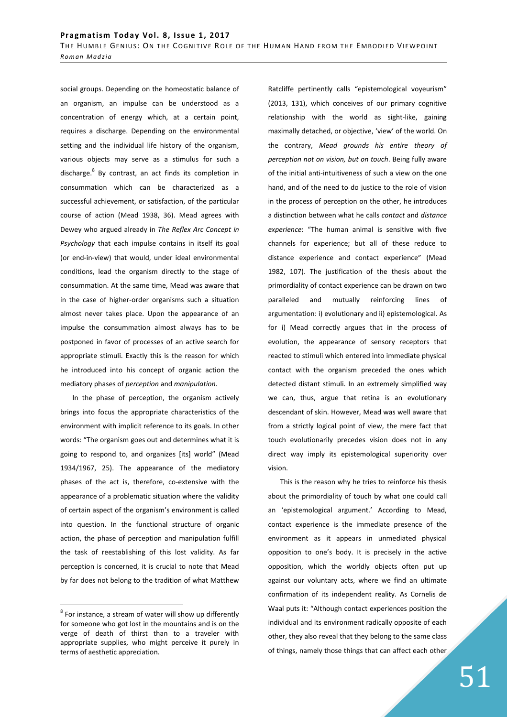social groups. Depending on the homeostatic balance of an organism, an impulse can be understood as a concentration of energy which, at a certain point, requires a discharge. Depending on the environmental setting and the individual life history of the organism, various objects may serve as a stimulus for such a discharge.<sup>8</sup> By contrast, an act finds its completion in consummation which can be characterized as a successful achievement, or satisfaction, of the particular course of action (Mead 1938, 36). Mead agrees with Dewey who argued already in *The Reflex Arc Concept in Psychology* that each impulse contains in itself its goal (or end-in-view) that would, under ideal environmental conditions, lead the organism directly to the stage of consummation. At the same time, Mead was aware that in the case of higher-order organisms such a situation almost never takes place. Upon the appearance of an impulse the consummation almost always has to be postponed in favor of processes of an active search for appropriate stimuli. Exactly this is the reason for which he introduced into his concept of organic action the mediatory phases of *perception* and *manipulation*.

In the phase of perception, the organism actively brings into focus the appropriate characteristics of the environment with implicit reference to its goals. In other words: "The organism goes out and determines what it is going to respond to, and organizes [its] world" (Mead 1934/1967, 25). The appearance of the mediatory phases of the act is, therefore, co-extensive with the appearance of a problematic situation where the validity of certain aspect of the organism's environment is called into question. In the functional structure of organic action, the phase of perception and manipulation fulfill the task of reestablishing of this lost validity. As far perception is concerned, it is crucial to note that Mead by far does not belong to the tradition of what Matthew

 $\overline{a}$ 

Ratcliffe pertinently calls "epistemological voyeurism" (2013, 131), which conceives of our primary cognitive relationship with the world as sight-like, gaining maximally detached, or objective, 'view' of the world. On the contrary, *Mead grounds his entire theory of perception not on vision, but on touch*. Being fully aware of the initial anti-intuitiveness of such a view on the one hand, and of the need to do justice to the role of vision in the process of perception on the other, he introduces a distinction between what he calls *contact* and *distance experience*: "The human animal is sensitive with five channels for experience; but all of these reduce to distance experience and contact experience" (Mead 1982, 107). The justification of the thesis about the primordiality of contact experience can be drawn on two paralleled and mutually reinforcing lines of argumentation: i) evolutionary and ii) epistemological. As for i) Mead correctly argues that in the process of evolution, the appearance of sensory receptors that reacted to stimuli which entered into immediate physical contact with the organism preceded the ones which detected distant stimuli. In an extremely simplified way we can, thus, argue that retina is an evolutionary descendant of skin. However, Mead was well aware that from a strictly logical point of view, the mere fact that touch evolutionarily precedes vision does not in any direct way imply its epistemological superiority over vision.

This is the reason why he tries to reinforce his thesis about the primordiality of touch by what one could call an 'epistemological argument.' According to Mead, contact experience is the immediate presence of the environment as it appears in unmediated physical opposition to one's body. It is precisely in the active opposition, which the worldly objects often put up against our voluntary acts, where we find an ultimate confirmation of its independent reality. As Cornelis de Waal puts it: "Although contact experiences position the individual and its environment radically opposite of each other, they also reveal that they belong to the same class of things, namely those things that can affect each other

 $8$  For instance, a stream of water will show up differently for someone who got lost in the mountains and is on the verge of death of thirst than to a traveler with appropriate supplies, who might perceive it purely in terms of aesthetic appreciation.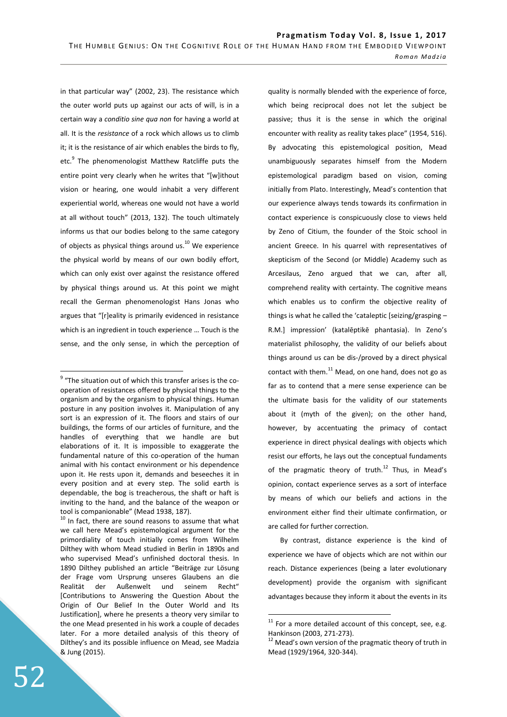in that particular way" (2002, 23). The resistance which the outer world puts up against our acts of will, is in a certain way a *conditio sine qua non* for having a world at all. It is the *resistance* of a rock which allows us to climb it; it is the resistance of air which enables the birds to fly, etc.<sup>9</sup> The phenomenologist Matthew Ratcliffe puts the entire point very clearly when he writes that "[w]ithout vision or hearing, one would inhabit a very different experiential world, whereas one would not have a world at all without touch" (2013, 132). The touch ultimately informs us that our bodies belong to the same category of objects as physical things around us. $^{10}$  We experience the physical world by means of our own bodily effort, which can only exist over against the resistance offered by physical things around us. At this point we might recall the German phenomenologist Hans Jonas who argues that "[r]eality is primarily evidenced in resistance which is an ingredient in touch experience … Touch is the sense, and the only sense, in which the perception of

 $10$  In fact, there are sound reasons to assume that what we call here Mead's epistemological argument for the primordiality of touch initially comes from Wilhelm Dilthey with whom Mead studied in Berlin in 1890s and who supervised Mead's unfinished doctoral thesis. In 1890 Dilthey published an article "Beiträge zur Lösung der Frage vom Ursprung unseres Glaubens an die Realität der Außenwelt und seinem Recht" [Contributions to Answering the Question About the Origin of Our Belief In the Outer World and Its Justification], where he presents a theory very similar to the one Mead presented in his work a couple of decades later. For a more detailed analysis of this theory of Dilthey's and its possible influence on Mead, see Madzia & Jung (2015).

quality is normally blended with the experience of force, which being reciprocal does not let the subject be passive; thus it is the sense in which the original encounter with reality as reality takes place" (1954, 516). By advocating this epistemological position, Mead unambiguously separates himself from the Modern epistemological paradigm based on vision, coming initially from Plato. Interestingly, Mead's contention that our experience always tends towards its confirmation in contact experience is conspicuously close to views held by Zeno of Citium, the founder of the Stoic school in ancient Greece. In his quarrel with representatives of skepticism of the Second (or Middle) Academy such as Arcesilaus, Zeno argued that we can, after all, comprehend reality with certainty. The cognitive means which enables us to confirm the objective reality of things is what he called the 'cataleptic [seizing/grasping – R.M.] impression' (katalēptikē phantasia). In Zeno's materialist philosophy, the validity of our beliefs about things around us can be dis-/proved by a direct physical contact with them. $^{11}$  Mead, on one hand, does not go as far as to contend that a mere sense experience can be the ultimate basis for the validity of our statements about it (myth of the given); on the other hand, however, by accentuating the primacy of contact experience in direct physical dealings with objects which resist our efforts, he lays out the conceptual fundaments of the pragmatic theory of truth.<sup>12</sup> Thus, in Mead's opinion, contact experience serves as a sort of interface by means of which our beliefs and actions in the environment either find their ultimate confirmation, or are called for further correction.

By contrast, distance experience is the kind of experience we have of objects which are not within our reach. Distance experiences (being a later evolutionary development) provide the organism with significant advantages because they inform it about the events in its

 $\overline{a}$ 

 $9$  "The situation out of which this transfer arises is the cooperation of resistances offered by physical things to the organism and by the organism to physical things. Human posture in any position involves it. Manipulation of any sort is an expression of it. The floors and stairs of our buildings, the forms of our articles of furniture, and the handles of everything that we handle are but elaborations of it. It is impossible to exaggerate the fundamental nature of this co-operation of the human animal with his contact environment or his dependence upon it. He rests upon it, demands and beseeches it in every position and at every step. The solid earth is dependable, the bog is treacherous, the shaft or haft is inviting to the hand, and the balance of the weapon or tool is companionable" (Mead 1938, 187).

 $11$  For a more detailed account of this concept, see, e.g. Hankinson (2003, 271-273).

 $12$  Mead's own version of the pragmatic theory of truth in Mead (1929/1964, 320-344).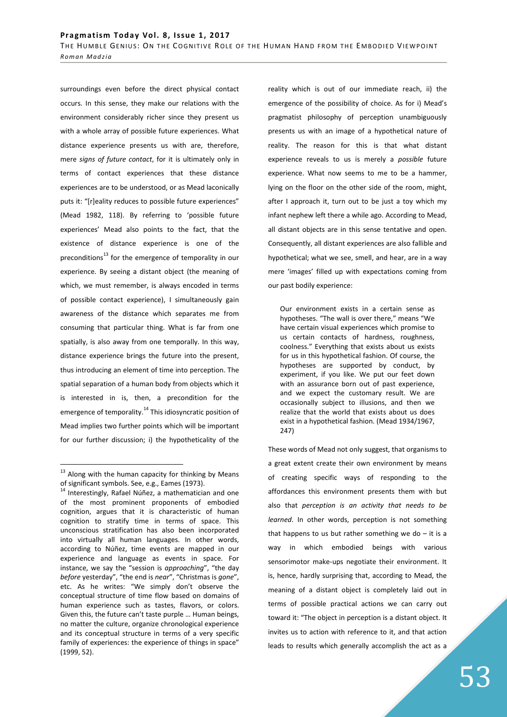surroundings even before the direct physical contact occurs. In this sense, they make our relations with the environment considerably richer since they present us with a whole array of possible future experiences. What distance experience presents us with are, therefore, mere *signs of future contact*, for it is ultimately only in terms of contact experiences that these distance experiences are to be understood, or as Mead laconically puts it: "[r]eality reduces to possible future experiences" (Mead 1982, 118). By referring to 'possible future experiences' Mead also points to the fact, that the existence of distance experience is one of the preconditions<sup>13</sup> for the emergence of temporality in our experience. By seeing a distant object (the meaning of which, we must remember, is always encoded in terms of possible contact experience), I simultaneously gain awareness of the distance which separates me from consuming that particular thing. What is far from one spatially, is also away from one temporally. In this way, distance experience brings the future into the present, thus introducing an element of time into perception. The spatial separation of a human body from objects which it is interested in is, then, a precondition for the emergence of temporality.<sup>14</sup> This idiosyncratic position of Mead implies two further points which will be important for our further discussion; i) the hypotheticality of the

 $\overline{a}$ 

reality which is out of our immediate reach, ii) the emergence of the possibility of choice. As for i) Mead's pragmatist philosophy of perception unambiguously presents us with an image of a hypothetical nature of reality. The reason for this is that what distant experience reveals to us is merely a *possible* future experience. What now seems to me to be a hammer, lying on the floor on the other side of the room, might, after I approach it, turn out to be just a toy which my infant nephew left there a while ago. According to Mead, all distant objects are in this sense tentative and open. Consequently, all distant experiences are also fallible and hypothetical; what we see, smell, and hear, are in a way mere 'images' filled up with expectations coming from our past bodily experience:

Our environment exists in a certain sense as hypotheses. "The wall is over there," means "We have certain visual experiences which promise to us certain contacts of hardness, roughness, coolness." Everything that exists about us exists for us in this hypothetical fashion. Of course, the hypotheses are supported by conduct, by experiment, if you like. We put our feet down with an assurance born out of past experience, and we expect the customary result. We are occasionally subject to illusions, and then we realize that the world that exists about us does exist in a hypothetical fashion. (Mead 1934/1967, 247)

These words of Mead not only suggest, that organisms to a great extent create their own environment by means of creating specific ways of responding to the affordances this environment presents them with but also that *perception is an activity that needs to be learned*. In other words, perception is not something that happens to us but rather something we do  $-$  it is a way in which embodied beings with various sensorimotor make-ups negotiate their environment. It is, hence, hardly surprising that, according to Mead, the meaning of a distant object is completely laid out in terms of possible practical actions we can carry out toward it: "The object in perception is a distant object. It invites us to action with reference to it, and that action leads to results which generally accomplish the act as a

<sup>&</sup>lt;sup>13</sup> Along with the human capacity for thinking by Means of significant symbols. See, e.g., Eames (1973).

<sup>14</sup> Interestingly, Rafael Núñez, a mathematician and one of the most prominent proponents of embodied cognition, argues that it is characteristic of human cognition to stratify time in terms of space. This unconscious stratification has also been incorporated into virtually all human languages. In other words, according to Núñez, time events are mapped in our experience and language as events in space. For instance, we say the "session is *approaching*", "the day *before* yesterday", "the end is *near*", "Christmas is *gone*", etc. As he writes: "We simply don't observe the conceptual structure of time flow based on domains of human experience such as tastes, flavors, or colors. Given this, the future can't taste purple … Human beings, no matter the culture, organize chronological experience and its conceptual structure in terms of a very specific family of experiences: the experience of things in space" (1999, 52).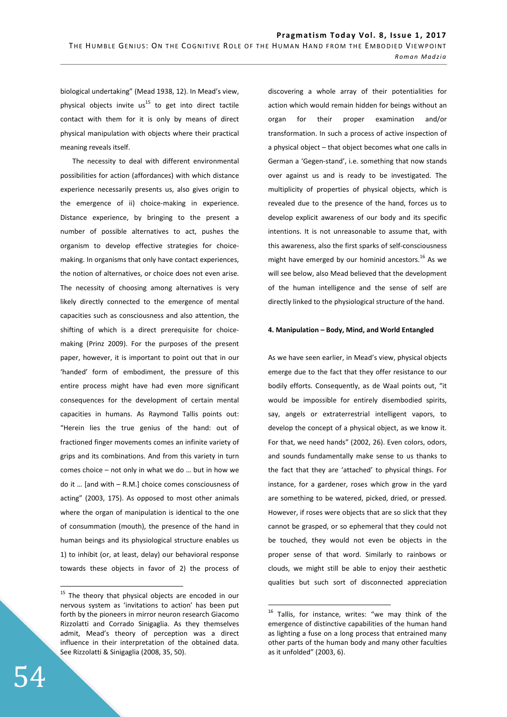biological undertaking" (Mead 1938, 12). In Mead's view, physical objects invite  $us^{15}$  to get into direct tactile contact with them for it is only by means of direct physical manipulation with objects where their practical meaning reveals itself.

The necessity to deal with different environmental possibilities for action (affordances) with which distance experience necessarily presents us, also gives origin to the emergence of ii) choice-making in experience. Distance experience, by bringing to the present a number of possible alternatives to act, pushes the organism to develop effective strategies for choicemaking. In organisms that only have contact experiences, the notion of alternatives, or choice does not even arise. The necessity of choosing among alternatives is very likely directly connected to the emergence of mental capacities such as consciousness and also attention, the shifting of which is a direct prerequisite for choicemaking (Prinz 2009). For the purposes of the present paper, however, it is important to point out that in our 'handed' form of embodiment, the pressure of this entire process might have had even more significant consequences for the development of certain mental capacities in humans. As Raymond Tallis points out: "Herein lies the true genius of the hand: out of fractioned finger movements comes an infinite variety of grips and its combinations. And from this variety in turn comes choice – not only in what we do … but in how we do it … [and with – R.M.] choice comes consciousness of acting" (2003, 175). As opposed to most other animals where the organ of manipulation is identical to the one of consummation (mouth), the presence of the hand in human beings and its physiological structure enables us 1) to inhibit (or, at least, delay) our behavioral response towards these objects in favor of 2) the process of

discovering a whole array of their potentialities for action which would remain hidden for beings without an organ for their proper examination and/or transformation. In such a process of active inspection of a physical object – that object becomes what one calls in German a 'Gegen-stand', i.e. something that now stands over against us and is ready to be investigated. The multiplicity of properties of physical objects, which is revealed due to the presence of the hand, forces us to develop explicit awareness of our body and its specific intentions. It is not unreasonable to assume that, with this awareness, also the first sparks of self-consciousness might have emerged by our hominid ancestors.<sup>16</sup> As we will see below, also Mead believed that the development of the human intelligence and the sense of self are directly linked to the physiological structure of the hand.

# **4. Manipulation – Body, Mind, and World Entangled**

As we have seen earlier, in Mead's view, physical objects emerge due to the fact that they offer resistance to our bodily efforts. Consequently, as de Waal points out, "it would be impossible for entirely disembodied spirits, say, angels or extraterrestrial intelligent vapors, to develop the concept of a physical object, as we know it. For that, we need hands" (2002, 26). Even colors, odors, and sounds fundamentally make sense to us thanks to the fact that they are 'attached' to physical things. For instance, for a gardener, roses which grow in the yard are something to be watered, picked, dried, or pressed. However, if roses were objects that are so slick that they cannot be grasped, or so ephemeral that they could not be touched, they would not even be objects in the proper sense of that word. Similarly to rainbows or clouds, we might still be able to enjoy their aesthetic qualities but such sort of disconnected appreciation

 $\overline{a}$ 

<sup>&</sup>lt;sup>15</sup> The theory that physical objects are encoded in our nervous system as 'invitations to action' has been put forth by the pioneers in mirror neuron research Giacomo Rizzolatti and Corrado Sinigaglia. As they themselves admit, Mead's theory of perception was a direct influence in their interpretation of the obtained data. See Rizzolatti & Sinigaglia (2008, 35, 50).

<sup>&</sup>lt;sup>16</sup> Tallis, for instance, writes: "we may think of the emergence of distinctive capabilities of the human hand as lighting a fuse on a long process that entrained many other parts of the human body and many other faculties as it unfolded" (2003, 6).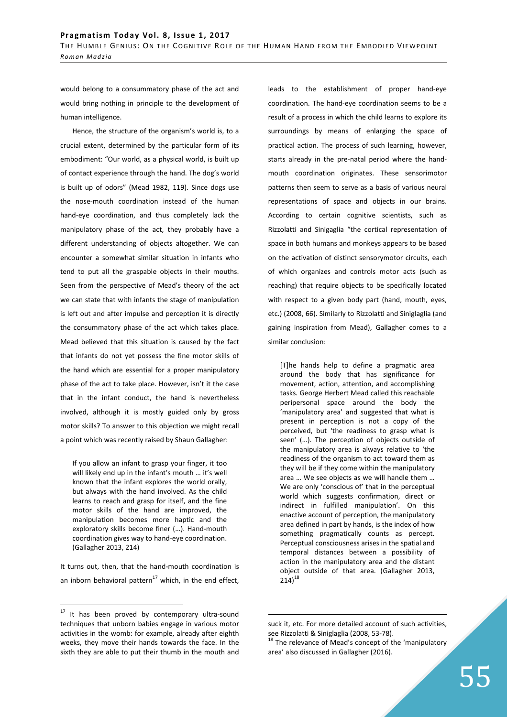would belong to a consummatory phase of the act and would bring nothing in principle to the development of human intelligence.

Hence, the structure of the organism's world is, to a crucial extent, determined by the particular form of its embodiment: "Our world, as a physical world, is built up of contact experience through the hand. The dog's world is built up of odors" (Mead 1982, 119). Since dogs use the nose-mouth coordination instead of the human hand-eye coordination, and thus completely lack the manipulatory phase of the act, they probably have a different understanding of objects altogether. We can encounter a somewhat similar situation in infants who tend to put all the graspable objects in their mouths. Seen from the perspective of Mead's theory of the act we can state that with infants the stage of manipulation is left out and after impulse and perception it is directly the consummatory phase of the act which takes place. Mead believed that this situation is caused by the fact that infants do not yet possess the fine motor skills of the hand which are essential for a proper manipulatory phase of the act to take place. However, isn't it the case that in the infant conduct, the hand is nevertheless involved, although it is mostly guided only by gross motor skills? To answer to this objection we might recall a point which was recently raised by Shaun Gallagher:

If you allow an infant to grasp your finger, it too will likely end up in the infant's mouth … it's well known that the infant explores the world orally, but always with the hand involved. As the child learns to reach and grasp for itself, and the fine motor skills of the hand are improved, the manipulation becomes more haptic and the exploratory skills become finer (…). Hand-mouth coordination gives way to hand-eye coordination. (Gallagher 2013, 214)

It turns out, then, that the hand-mouth coordination is an inborn behavioral pattern $^{17}$  which, in the end effect,

 $\overline{a}$ 

leads to the establishment of proper hand-eye coordination. The hand-eye coordination seems to be a result of a process in which the child learns to explore its surroundings by means of enlarging the space of practical action. The process of such learning, however, starts already in the pre-natal period where the handmouth coordination originates. These sensorimotor patterns then seem to serve as a basis of various neural representations of space and objects in our brains. According to certain cognitive scientists, such as Rizzolatti and Sinigaglia "the cortical representation of space in both humans and monkeys appears to be based on the activation of distinct sensorymotor circuits, each of which organizes and controls motor acts (such as reaching) that require objects to be specifically located with respect to a given body part (hand, mouth, eyes, etc.) (2008, 66). Similarly to Rizzolatti and Siniglaglia (and gaining inspiration from Mead), Gallagher comes to a similar conclusion:

[T]he hands help to define a pragmatic area around the body that has significance for movement, action, attention, and accomplishing tasks. George Herbert Mead called this reachable peripersonal space around the body the 'manipulatory area' and suggested that what is present in perception is not a copy of the perceived, but 'the readiness to grasp what is seen' (…). The perception of objects outside of the manipulatory area is always relative to 'the readiness of the organism to act toward them as they will be if they come within the manipulatory area … We see objects as we will handle them … We are only 'conscious of' that in the perceptual world which suggests confirmation, direct or indirect in fulfilled manipulation'. On this enactive account of perception, the manipulatory area defined in part by hands, is the index of how something pragmatically counts as percept. Perceptual consciousness arises in the spatial and temporal distances between a possibility of action in the manipulatory area and the distant object outside of that area. (Gallagher 2013,  $214)^{18}$ 

 $17$  It has been proved by contemporary ultra-sound techniques that unborn babies engage in various motor activities in the womb: for example, already after eighth weeks, they move their hands towards the face. In the sixth they are able to put their thumb in the mouth and

suck it, etc. For more detailed account of such activities, see Rizzolatti & Siniglaglia (2008, 53-78).

 $18$  The relevance of Mead's concept of the 'manipulatory area' also discussed in Gallagher (2016).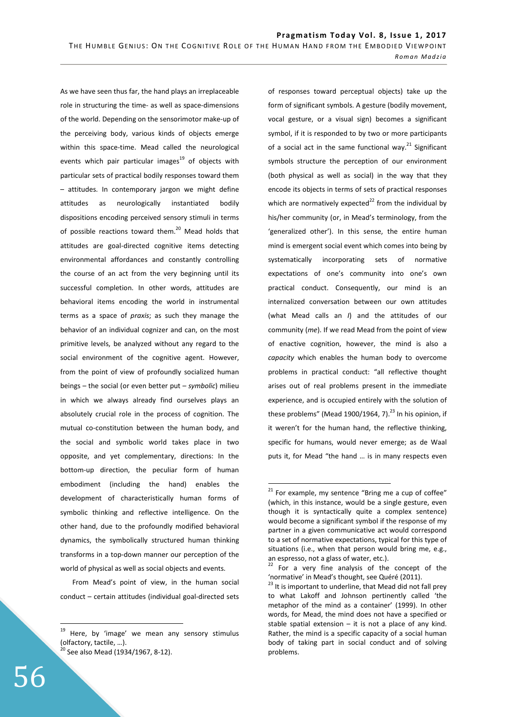As we have seen thus far, the hand plays an irreplaceable role in structuring the time- as well as space-dimensions of the world. Depending on the sensorimotor make-up of the perceiving body, various kinds of objects emerge within this space-time. Mead called the neurological events which pair particular images $19$  of objects with particular sets of practical bodily responses toward them – attitudes. In contemporary jargon we might define attitudes as neurologically instantiated bodily dispositions encoding perceived sensory stimuli in terms of possible reactions toward them.<sup>20</sup> Mead holds that attitudes are goal-directed cognitive items detecting environmental affordances and constantly controlling the course of an act from the very beginning until its successful completion. In other words, attitudes are behavioral items encoding the world in instrumental terms as a space of *praxis*; as such they manage the behavior of an individual cognizer and can, on the most primitive levels, be analyzed without any regard to the social environment of the cognitive agent. However, from the point of view of profoundly socialized human beings – the social (or even better put – *symbolic*) milieu in which we always already find ourselves plays an absolutely crucial role in the process of cognition. The mutual co-constitution between the human body, and the social and symbolic world takes place in two opposite, and yet complementary, directions: In the bottom-up direction, the peculiar form of human embodiment (including the hand) enables the development of characteristically human forms of symbolic thinking and reflective intelligence. On the other hand, due to the profoundly modified behavioral dynamics, the symbolically structured human thinking transforms in a top-down manner our perception of the world of physical as well as social objects and events.

From Mead's point of view, in the human social conduct – certain attitudes (individual goal-directed sets

of responses toward perceptual objects) take up the form of significant symbols. A gesture (bodily movement, vocal gesture, or a visual sign) becomes a significant symbol, if it is responded to by two or more participants of a social act in the same functional way.<sup>21</sup> Significant symbols structure the perception of our environment (both physical as well as social) in the way that they encode its objects in terms of sets of practical responses which are normatively expected $^{22}$  from the individual by his/her community (or, in Mead's terminology, from the 'generalized other'). In this sense, the entire human mind is emergent social event which comes into being by systematically incorporating sets of normative expectations of one's community into one's own practical conduct. Consequently, our mind is an internalized conversation between our own attitudes (what Mead calls an *I*) and the attitudes of our community (*me*). If we read Mead from the point of view of enactive cognition, however, the mind is also a *capacity* which enables the human body to overcome problems in practical conduct: "all reflective thought arises out of real problems present in the immediate experience, and is occupied entirely with the solution of these problems" (Mead 1900/1964, 7). $^{23}$  In his opinion, if it weren't for the human hand, the reflective thinking, specific for humans, would never emerge; as de Waal puts it, for Mead "the hand … is in many respects even

 $\overline{a}$ 

<sup>&</sup>lt;sup>19</sup> Here, by 'image' we mean any sensory stimulus (olfactory, tactile, …).

 $20$  See also Mead (1934/1967, 8-12).

 $21$  For example, my sentence "Bring me a cup of coffee" (which, in this instance, would be a single gesture, even though it is syntactically quite a complex sentence) would become a significant symbol if the response of my partner in a given communicative act would correspond to a set of normative expectations, typical for this type of situations (i.e., when that person would bring me, e.g., an espresso, not a glass of water, etc.).

 $22$  For a very fine analysis of the concept of the 'normative' in Mead's thought, see Quéré (2011).

 $23$  It is important to underline, that Mead did not fall prey to what Lakoff and Johnson pertinently called 'the metaphor of the mind as a container' (1999). In other words, for Mead, the mind does not have a specified or stable spatial extension  $-$  it is not a place of any kind. Rather, the mind is a specific capacity of a social human body of taking part in social conduct and of solving problems.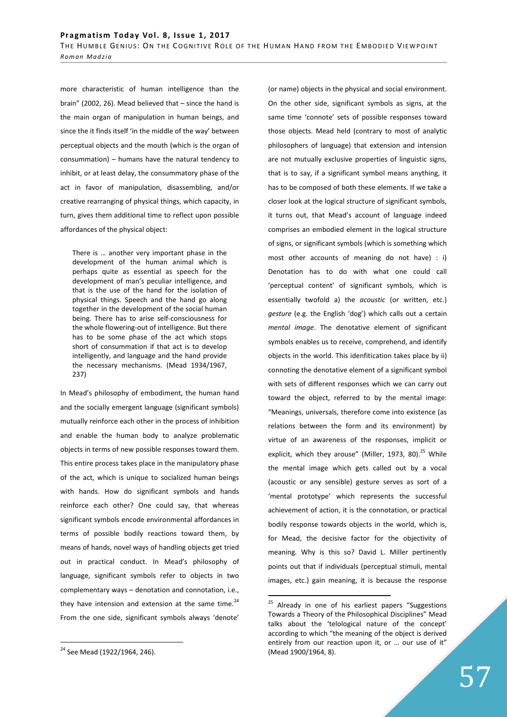more characteristic of human intelligence than the brain" (2002, 26). Mead believed that – since the hand is the main organ of manipulation in human beings, and since the it finds itself 'in the middle of the way' between perceptual objects and the mouth (which is the organ of consummation) – humans have the natural tendency to inhibit, or at least delay, the consummatory phase of the act in favor of manipulation, disassembling, and/or creative rearranging of physical things, which capacity, in turn, gives them additional time to reflect upon possible affordances of the physical object:

There is … another very important phase in the development of the human animal which is perhaps quite as essential as speech for the development of man's peculiar intelligence, and that is the use of the hand for the isolation of physical things. Speech and the hand go along together in the development of the social human being. There has to arise self-consciousness for the whole flowering-out of intelligence. But there has to be some phase of the act which stops short of consummation if that act is to develop intelligently, and language and the hand provide the necessary mechanisms. (Mead 1934/1967, 237)

In Mead's philosophy of embodiment, the human hand and the socially emergent language (significant symbols) mutually reinforce each other in the process of inhibition and enable the human body to analyze problematic objects in terms of new possible responses toward them. This entire process takes place in the manipulatory phase of the act, which is unique to socialized human beings with hands. How do significant symbols and hands reinforce each other? One could say, that whereas significant symbols encode environmental affordances in terms of possible bodily reactions toward them, by means of hands, novel ways of handling objects get tried out in practical conduct. In Mead's philosophy of language, significant symbols refer to objects in two complementary ways – denotation and connotation, i.e., they have intension and extension at the same time. $^{24}$ From the one side, significant symbols always 'denote'

 $\overline{a}$ 

(or name) objects in the physical and social environment. On the other side, significant symbols as signs, at the same time 'connote' sets of possible responses toward those objects. Mead held (contrary to most of analytic philosophers of language) that extension and intension are not mutually exclusive properties of linguistic signs, that is to say, if a significant symbol means anything, it has to be composed of both these elements. If we take a closer look at the logical structure of significant symbols, it turns out, that Mead's account of language indeed comprises an embodied element in the logical structure of signs, or significant symbols (which is something which most other accounts of meaning do not have) : i) Denotation has to do with what one could call 'perceptual content' of significant symbols, which is essentially twofold a) the *acoustic* (or written, etc.) *gesture* (e.g. the English 'dog') which calls out a certain *mental image*. The denotative element of significant symbols enables us to receive, comprehend, and identify objects in the world. This idenfitication takes place by ii) connoting the denotative element of a significant symbol with sets of different responses which we can carry out toward the object, referred to by the mental image: "Meanings, universals, therefore come into existence (as relations between the form and its environment) by virtue of an awareness of the responses, implicit or explicit, which they arouse" (Miller, 1973, 80). $^{25}$  While the mental image which gets called out by a vocal (acoustic or any sensible) gesture serves as sort of a 'mental prototype' which represents the successful achievement of action, it is the connotation, or practical bodily response towards objects in the world, which is, for Mead, the decisive factor for the objectivity of meaning. Why is this so? David L. Miller pertinently points out that if individuals (perceptual stimuli, mental images, etc.) gain meaning, it is because the response

<sup>&</sup>lt;sup>24</sup> See Mead (1922/1964, 246).

<sup>&</sup>lt;sup>25</sup> Already in one of his earliest papers "Suggestions Towards a Theory of the Philosophical Disciplines" Mead talks about the 'telological nature of the concept' according to which "the meaning of the object is derived entirely from our reaction upon it, or … our use of it" (Mead 1900/1964, 8).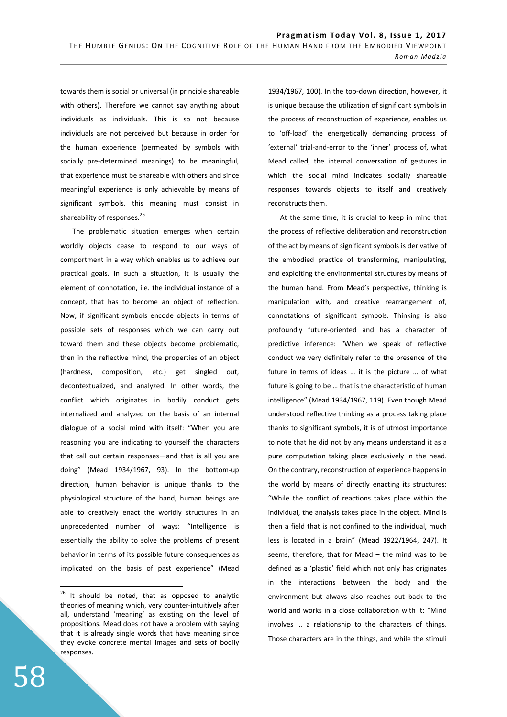towards them is social or universal (in principle shareable with others). Therefore we cannot say anything about individuals as individuals. This is so not because individuals are not perceived but because in order for the human experience (permeated by symbols with socially pre-determined meanings) to be meaningful, that experience must be shareable with others and since meaningful experience is only achievable by means of significant symbols, this meaning must consist in shareability of responses.<sup>26</sup>

The problematic situation emerges when certain worldly objects cease to respond to our ways of comportment in a way which enables us to achieve our practical goals. In such a situation, it is usually the element of connotation, i.e. the individual instance of a concept, that has to become an object of reflection. Now, if significant symbols encode objects in terms of possible sets of responses which we can carry out toward them and these objects become problematic, then in the reflective mind, the properties of an object (hardness, composition, etc.) get singled out, decontextualized, and analyzed. In other words, the conflict which originates in bodily conduct gets internalized and analyzed on the basis of an internal dialogue of a social mind with itself: "When you are reasoning you are indicating to yourself the characters that call out certain responses—and that is all you are doing" (Mead 1934/1967, 93). In the bottom-up direction, human behavior is unique thanks to the physiological structure of the hand, human beings are able to creatively enact the worldly structures in an unprecedented number of ways: "Intelligence is essentially the ability to solve the problems of present behavior in terms of its possible future consequences as implicated on the basis of past experience" (Mead

1934/1967, 100). In the top-down direction, however, it is unique because the utilization of significant symbols in the process of reconstruction of experience, enables us to 'off-load' the energetically demanding process of 'external' trial-and-error to the 'inner' process of, what Mead called, the internal conversation of gestures in which the social mind indicates socially shareable responses towards objects to itself and creatively reconstructs them.

At the same time, it is crucial to keep in mind that the process of reflective deliberation and reconstruction of the act by means of significant symbols is derivative of the embodied practice of transforming, manipulating, and exploiting the environmental structures by means of the human hand. From Mead's perspective, thinking is manipulation with, and creative rearrangement of, connotations of significant symbols. Thinking is also profoundly future-oriented and has a character of predictive inference: "When we speak of reflective conduct we very definitely refer to the presence of the future in terms of ideas … it is the picture … of what future is going to be … that is the characteristic of human intelligence" (Mead 1934/1967, 119). Even though Mead understood reflective thinking as a process taking place thanks to significant symbols, it is of utmost importance to note that he did not by any means understand it as a pure computation taking place exclusively in the head. On the contrary, reconstruction of experience happens in the world by means of directly enacting its structures: "While the conflict of reactions takes place within the individual, the analysis takes place in the object. Mind is then a field that is not confined to the individual, much less is located in a brain" (Mead 1922/1964, 247). It seems, therefore, that for Mead – the mind was to be defined as a 'plastic' field which not only has originates in the interactions between the body and the environment but always also reaches out back to the world and works in a close collaboration with it: "Mind involves … a relationship to the characters of things. Those characters are in the things, and while the stimuli

<sup>&</sup>lt;sup>26</sup> It should be noted, that as opposed to analytic theories of meaning which, very counter-intuitively after all, understand 'meaning' as existing on the level of propositions. Mead does not have a problem with saying that it is already single words that have meaning since they evoke concrete mental images and sets of bodily responses.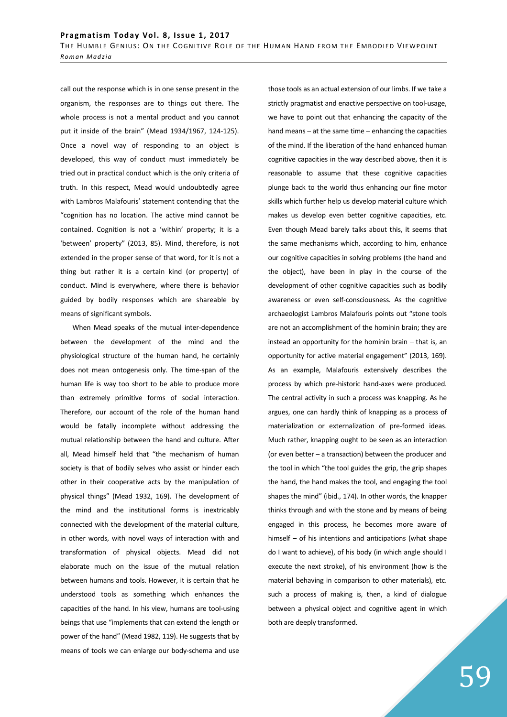call out the response which is in one sense present in the organism, the responses are to things out there. The whole process is not a mental product and you cannot put it inside of the brain" (Mead 1934/1967, 124-125). Once a novel way of responding to an object is developed, this way of conduct must immediately be tried out in practical conduct which is the only criteria of truth. In this respect, Mead would undoubtedly agree with Lambros Malafouris' statement contending that the "cognition has no location. The active mind cannot be contained. Cognition is not a 'within' property; it is a 'between' property" (2013, 85). Mind, therefore, is not extended in the proper sense of that word, for it is not a thing but rather it is a certain kind (or property) of conduct. Mind is everywhere, where there is behavior guided by bodily responses which are shareable by means of significant symbols.

When Mead speaks of the mutual inter-dependence between the development of the mind and the physiological structure of the human hand, he certainly does not mean ontogenesis only. The time-span of the human life is way too short to be able to produce more than extremely primitive forms of social interaction. Therefore, our account of the role of the human hand would be fatally incomplete without addressing the mutual relationship between the hand and culture. After all, Mead himself held that "the mechanism of human society is that of bodily selves who assist or hinder each other in their cooperative acts by the manipulation of physical things" (Mead 1932, 169). The development of the mind and the institutional forms is inextricably connected with the development of the material culture, in other words, with novel ways of interaction with and transformation of physical objects. Mead did not elaborate much on the issue of the mutual relation between humans and tools. However, it is certain that he understood tools as something which enhances the capacities of the hand. In his view, humans are tool-using beings that use "implements that can extend the length or power of the hand" (Mead 1982, 119). He suggests that by means of tools we can enlarge our body-schema and use

those tools as an actual extension of our limbs. If we take a strictly pragmatist and enactive perspective on tool-usage, we have to point out that enhancing the capacity of the hand means – at the same time – enhancing the capacities of the mind. If the liberation of the hand enhanced human cognitive capacities in the way described above, then it is reasonable to assume that these cognitive capacities plunge back to the world thus enhancing our fine motor skills which further help us develop material culture which makes us develop even better cognitive capacities, etc. Even though Mead barely talks about this, it seems that the same mechanisms which, according to him, enhance our cognitive capacities in solving problems (the hand and the object), have been in play in the course of the development of other cognitive capacities such as bodily awareness or even self-consciousness. As the cognitive archaeologist Lambros Malafouris points out "stone tools are not an accomplishment of the hominin brain; they are instead an opportunity for the hominin brain – that is, an opportunity for active material engagement" (2013, 169). As an example, Malafouris extensively describes the process by which pre-historic hand-axes were produced. The central activity in such a process was knapping. As he argues, one can hardly think of knapping as a process of materialization or externalization of pre-formed ideas. Much rather, knapping ought to be seen as an interaction (or even better – a transaction) between the producer and the tool in which "the tool guides the grip, the grip shapes the hand, the hand makes the tool, and engaging the tool shapes the mind" (ibid., 174). In other words, the knapper thinks through and with the stone and by means of being engaged in this process, he becomes more aware of himself – of his intentions and anticipations (what shape do I want to achieve), of his body (in which angle should I execute the next stroke), of his environment (how is the material behaving in comparison to other materials), etc. such a process of making is, then, a kind of dialogue between a physical object and cognitive agent in which both are deeply transformed.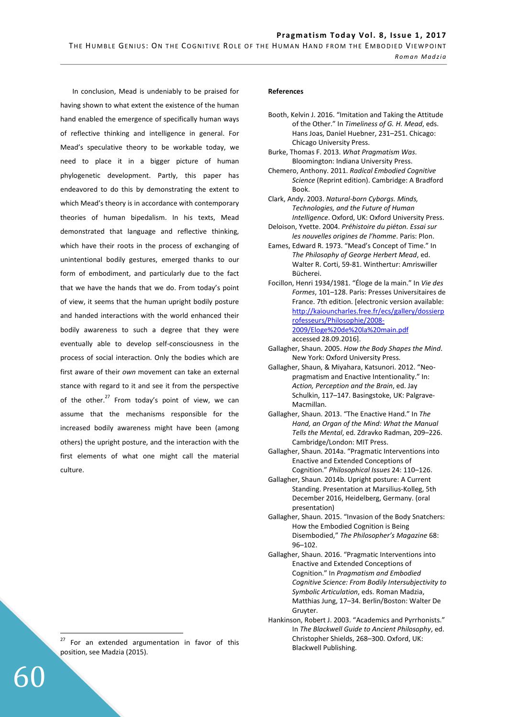In conclusion, Mead is undeniably to be praised for having shown to what extent the existence of the human hand enabled the emergence of specifically human ways of reflective thinking and intelligence in general. For Mead's speculative theory to be workable today, we need to place it in a bigger picture of human phylogenetic development. Partly, this paper has endeavored to do this by demonstrating the extent to which Mead's theory is in accordance with contemporary theories of human bipedalism. In his texts, Mead demonstrated that language and reflective thinking, which have their roots in the process of exchanging of unintentional bodily gestures, emerged thanks to our form of embodiment, and particularly due to the fact that we have the hands that we do. From today's point of view, it seems that the human upright bodily posture and handed interactions with the world enhanced their bodily awareness to such a degree that they were eventually able to develop self-consciousness in the process of social interaction. Only the bodies which are first aware of their *own* movement can take an external stance with regard to it and see it from the perspective of the other. $^{27}$  From today's point of view, we can assume that the mechanisms responsible for the increased bodily awareness might have been (among others) the upright posture, and the interaction with the first elements of what one might call the material culture.

 $27$  For an extended argumentation in favor of this position, see Madzia (2015).

60

 $\overline{a}$ 

#### **References**

- Booth, Kelvin J. 2016. "Imitation and Taking the Attitude of the Other." In *Timeliness of G. H. Mead*, eds. Hans Joas, Daniel Huebner, 231–251. Chicago: Chicago University Press.
- Burke, Thomas F. 2013. *What Pragmatism Was*. Bloomington: Indiana University Press.
- Chemero, Anthony. 2011. *Radical Embodied Cognitive Science* (Reprint edition). Cambridge: A Bradford Book.
- Clark, Andy. 2003. *Natural-born Cyborgs. Minds, Technologies, and the Future of Human Intelligence*. Oxford, UK: Oxford University Press.
- Deloison, Yvette. 2004. *Préhistoire du piéton. Essai sur les nouvelles origines de l'homme*. Paris: Plon.
- Eames, Edward R. 1973. "Mead's Concept of Time." In *The Philosophy of George Herbert Mead*, ed. Walter R. Corti, 59-81. Winthertur: Amriswiller Bücherei.
- Focillon, Henri 1934/1981. "Éloge de la main." In *Vie des Formes*, 101–128. Paris: Presses Universitaires de France. 7th edition. [electronic version available: http://kaiouncharles.free.fr/ecs/gallery/dossierp rofesseurs/Philosophie/2008- 2009/Eloge%20de%20la%20main.pdf accessed 28.09.2016].
- Gallagher, Shaun. 2005. *How the Body Shapes the Mind*. New York: Oxford University Press.
- Gallagher, Shaun, & Miyahara, Katsunori. 2012. "Neopragmatism and Enactive Intentionality." In: *Action, Perception and the Brain*, ed. Jay Schulkin, 117–147. Basingstoke, UK: Palgrave-Macmillan.
- Gallagher, Shaun. 2013. "The Enactive Hand." In *The Hand, an Organ of the Mind: What the Manual Tells the Mental*, ed. Zdravko Radman, 209–226. Cambridge/London: MIT Press.
- Gallagher, Shaun. 2014a. "Pragmatic Interventions into Enactive and Extended Conceptions of Cognition." *Philosophical Issues* 24: 110–126.
- Gallagher, Shaun. 2014b. Upright posture: A Current Standing. Presentation at Marsilius-Kolleg, 5th December 2016, Heidelberg, Germany. (oral presentation)
- Gallagher, Shaun. 2015. "Invasion of the Body Snatchers: How the Embodied Cognition is Being Disembodied," *The Philosopher's Magazine* 68: 96–102.
- Gallagher, Shaun. 2016. "Pragmatic Interventions into Enactive and Extended Conceptions of Cognition." In *Pragmatism and Embodied Cognitive Science: From Bodily Intersubjectivity to Symbolic Articulation*, eds. Roman Madzia, Matthias Jung, 17–34. Berlin/Boston: Walter De Gruyter.
- Hankinson, Robert J. 2003. "Academics and Pyrrhonists." In *The Blackwell Guide to Ancient Philosophy*, ed. Christopher Shields, 268–300. Oxford, UK: Blackwell Publishing.